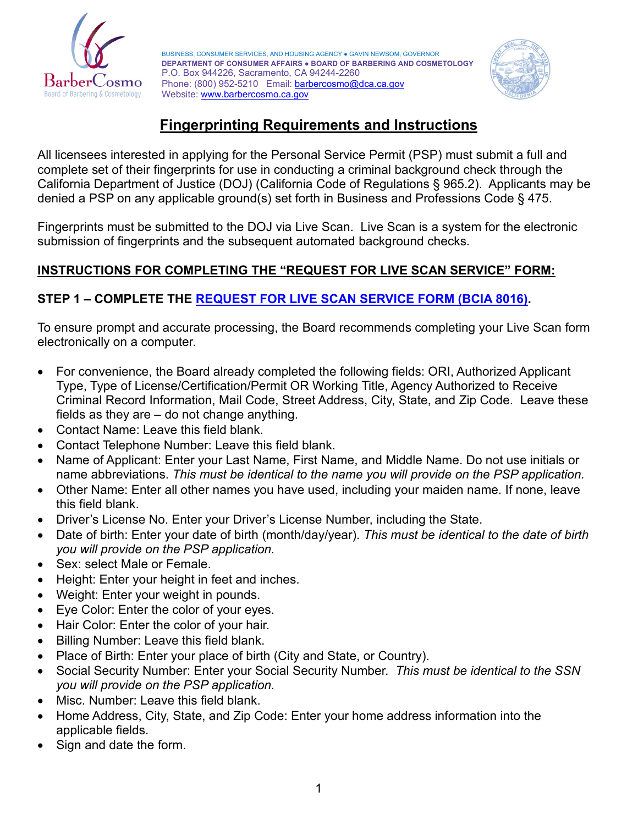

BUSINESS, CONSUMER SERVICES, AND HOUSING AGENCY ● GAVIN NEWSOM, GOVERNOR **DEPARTMENT OF CONSUMER AFFAIRS ● BOARD OF BARBERING AND COSMETOLOGY** P.O. Box 944226, Sacramento, CA 94244-2260 Phone: (800) 952-5210 Email: **barbercosmo@dca.ca.gov** Website: [www.barbercosmo.ca.gov](http://www.barbercosmo.ca.gov/)



## **Fingerprinting Requirements and Instructions**

All licensees interested in applying for the Personal Service Permit (PSP) must submit a full and complete set of their fingerprints for use in conducting a criminal background check through the California Department of Justice (DOJ) (California Code of Regulations § 965.2). Applicants may be denied a PSP on any applicable ground(s) set forth in Business and Professions Code § 475.

Fingerprints must be submitted to the DOJ via Live Scan. Live Scan is a system for the electronic submission of fingerprints and the subsequent automated background checks.

## **INSTRUCTIONS FOR COMPLETING THE "REQUEST FOR LIVE SCAN SERVICE" FORM:**

## **STEP 1 – COMPLETE THE [REQUEST FOR LIVE SCAN SERVICE FORM \(BCIA](https://barbercosmo.ca.gov/forms_pubs/live_scan.pdf) 8016).**

To ensure prompt and accurate processing, the Board recommends completing your Live Scan form electronically on a computer.

- For convenience, the Board already completed the following fields: ORI, Authorized Applicant Type, Type of License/Certification/Permit OR Working Title, Agency Authorized to Receive Criminal Record Information, Mail Code, Street Address, City, State, and Zip Code. Leave these fields as they are – do not change anything.
- Contact Name: Leave this field blank.
- Contact Telephone Number: Leave this field blank.
- Name of Applicant: Enter your Last Name, First Name, and Middle Name. Do not use initials or name abbreviations. *This must be identical to the name you will provide on the PSP application.*
- Other Name: Enter all other names you have used, including your maiden name. If none, leave this field blank.
- Driver's License No. Enter your Driver's License Number, including the State.
- Date of birth: Enter your date of birth (month/day/year). *This must be identical to the date of birth you will provide on the PSP application.*
- Sex: select Male or Female.
- Height: Enter your height in feet and inches.
- Weight: Enter your weight in pounds.
- Eye Color: Enter the color of your eyes.
- Hair Color: Enter the color of your hair.
- Billing Number: Leave this field blank.
- Place of Birth: Enter your place of birth (City and State, or Country).
- Social Security Number: Enter your Social Security Number. *This must be identical to the SSN you will provide on the PSP application.*
- Misc. Number: Leave this field blank.
- Home Address, City, State, and Zip Code: Enter your home address information into the applicable fields.
- Sign and date the form.